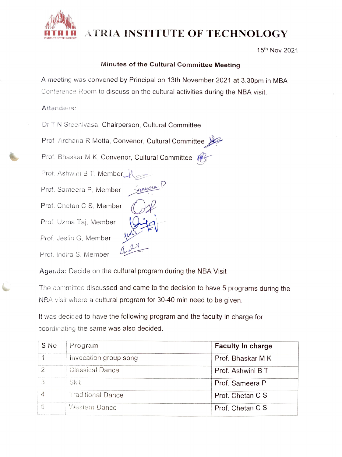

## ATRIA INSTITUTE OF TECHNOLOGY

15th Nov 2021

## Minutes of the Cultural Committee Meeting

A meeting was convened by Principal on 13th November 2021 at 3.30pm in MBA Conference Room to discuss on the cultural activities during the NBA visit.

## Attendees:

Dr T N Sreenivasa, Chairperson, Cultural Committee

Prof Archana R Motta, Convenor, Cultural Committee

ameora

Prof. Bhaskar M K, Convenor, Cultural Committee

Prof. Ashwini B T, Member Prof. Sameera P, Member Prof. Chetan C S, Member Prof. Uzma Taj, Member Prof. Jeslin G, Member Prof. Indira S. Member

Agerda: Decide on the cultural program during the NBA Visit

The committee discussed and came to the decision to have 5 programs during the NBA visit where a cultural program for 30-40 min need to be given.

It was decided to have the following program and the faculty in charge for coordinatiny the same was also decided.

| S No | Program                | <b>Faculty In charge</b> |
|------|------------------------|--------------------------|
|      | Invocation group song  | Prof. Bhaskar M K        |
| 2    | <b>Classical Dance</b> | Prof. Ashwini B T        |
|      | Skit                   | Prof. Sameera P          |
|      | Traditional Dance      | Prof. Chetan C S         |
|      | Western Dance          | Prof. Chetan C S         |